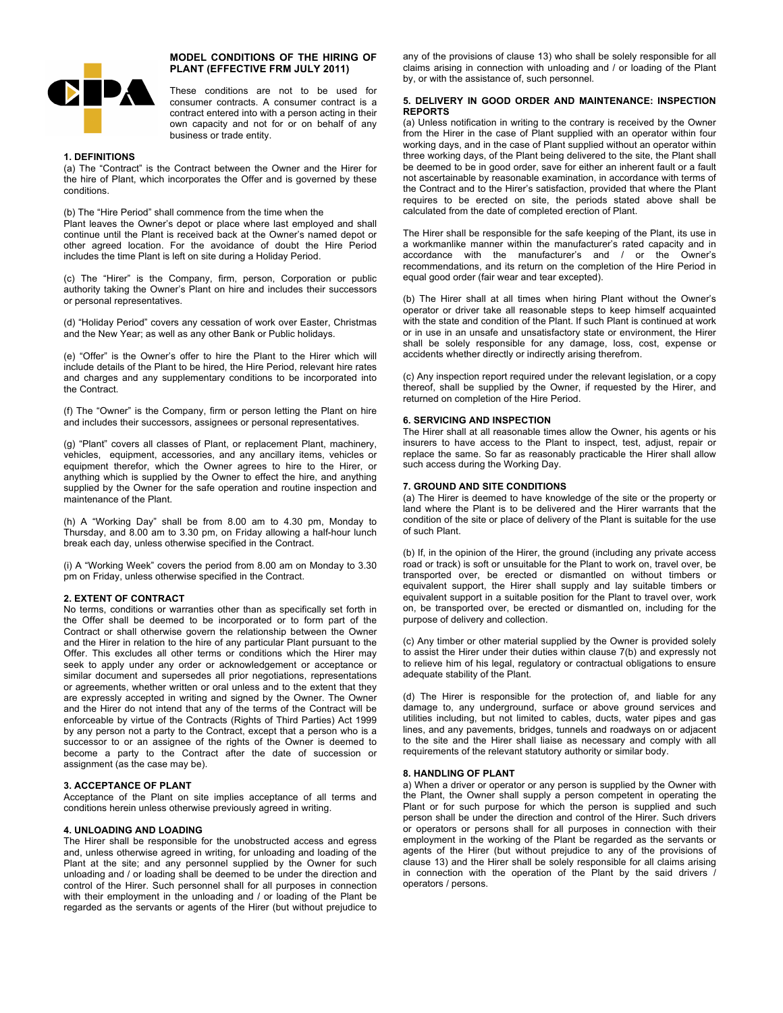

# **MODEL CONDITIONS OF THE HIRING OF PLANT (EFFECTIVE FRM JULY 2011)**

These conditions are not to be used for consumer contracts. A consumer contract is a contract entered into with a person acting in their own capacity and not for or on behalf of any business or trade entity.

## **1. DEFINITIONS**

(a) The "Contract" is the Contract between the Owner and the Hirer for the hire of Plant, which incorporates the Offer and is governed by these conditions.

(b) The "Hire Period" shall commence from the time when the

Plant leaves the Owner's depot or place where last employed and shall continue until the Plant is received back at the Owner's named depot or other agreed location. For the avoidance of doubt the Hire Period includes the time Plant is left on site during a Holiday Period.

(c) The "Hirer" is the Company, firm, person, Corporation or public authority taking the Owner's Plant on hire and includes their successors or personal representatives.

(d) "Holiday Period" covers any cessation of work over Easter, Christmas and the New Year; as well as any other Bank or Public holidays.

(e) "Offer" is the Owner's offer to hire the Plant to the Hirer which will include details of the Plant to be hired, the Hire Period, relevant hire rates and charges and any supplementary conditions to be incorporated into the Contract.

(f) The "Owner" is the Company, firm or person letting the Plant on hire and includes their successors, assignees or personal representatives.

(g) "Plant" covers all classes of Plant, or replacement Plant, machinery, vehicles, equipment, accessories, and any ancillary items, vehicles or equipment therefor, which the Owner agrees to hire to the Hirer, or anything which is supplied by the Owner to effect the hire, and anything supplied by the Owner for the safe operation and routine inspection and maintenance of the Plant.

(h) A "Working Day" shall be from 8.00 am to 4.30 pm, Monday to Thursday, and 8.00 am to 3.30 pm, on Friday allowing a half-hour lunch break each day, unless otherwise specified in the Contract.

(i) A "Working Week" covers the period from 8.00 am on Monday to 3.30 pm on Friday, unless otherwise specified in the Contract.

# **2. EXTENT OF CONTRACT**

No terms, conditions or warranties other than as specifically set forth in the Offer shall be deemed to be incorporated or to form part of the Contract or shall otherwise govern the relationship between the Owner and the Hirer in relation to the hire of any particular Plant pursuant to the Offer. This excludes all other terms or conditions which the Hirer may seek to apply under any order or acknowledgement or acceptance or similar document and supersedes all prior negotiations, representations or agreements, whether written or oral unless and to the extent that they are expressly accepted in writing and signed by the Owner. The Owner and the Hirer do not intend that any of the terms of the Contract will be enforceable by virtue of the Contracts (Rights of Third Parties) Act 1999 by any person not a party to the Contract, except that a person who is a successor to or an assignee of the rights of the Owner is deemed to become a party to the Contract after the date of succession or assignment (as the case may be).

# **3. ACCEPTANCE OF PLANT**

Acceptance of the Plant on site implies acceptance of all terms and conditions herein unless otherwise previously agreed in writing.

# **4. UNLOADING AND LOADING**

The Hirer shall be responsible for the unobstructed access and egress and, unless otherwise agreed in writing, for unloading and loading of the Plant at the site; and any personnel supplied by the Owner for such unloading and / or loading shall be deemed to be under the direction and control of the Hirer. Such personnel shall for all purposes in connection with their employment in the unloading and / or loading of the Plant be regarded as the servants or agents of the Hirer (but without prejudice to any of the provisions of clause 13) who shall be solely responsible for all claims arising in connection with unloading and / or loading of the Plant by, or with the assistance of, such personnel.

# **5. DELIVERY IN GOOD ORDER AND MAINTENANCE: INSPECTION REPORTS**

(a) Unless notification in writing to the contrary is received by the Owner from the Hirer in the case of Plant supplied with an operator within four working days, and in the case of Plant supplied without an operator within three working days, of the Plant being delivered to the site, the Plant shall be deemed to be in good order, save for either an inherent fault or a fault not ascertainable by reasonable examination, in accordance with terms of the Contract and to the Hirer's satisfaction, provided that where the Plant requires to be erected on site, the periods stated above shall be calculated from the date of completed erection of Plant.

The Hirer shall be responsible for the safe keeping of the Plant, its use in a workmanlike manner within the manufacturer's rated capacity and in accordance with the manufacturer's and / or the Owner's recommendations, and its return on the completion of the Hire Period in equal good order (fair wear and tear excepted).

(b) The Hirer shall at all times when hiring Plant without the Owner's operator or driver take all reasonable steps to keep himself acquainted with the state and condition of the Plant. If such Plant is continued at work or in use in an unsafe and unsatisfactory state or environment, the Hirer shall be solely responsible for any damage, loss, cost, expense or accidents whether directly or indirectly arising therefrom.

(c) Any inspection report required under the relevant legislation, or a copy thereof, shall be supplied by the Owner, if requested by the Hirer, and returned on completion of the Hire Period.

# **6. SERVICING AND INSPECTION**

The Hirer shall at all reasonable times allow the Owner, his agents or his insurers to have access to the Plant to inspect, test, adjust, repair or replace the same. So far as reasonably practicable the Hirer shall allow such access during the Working Day.

### **7. GROUND AND SITE CONDITIONS**

(a) The Hirer is deemed to have knowledge of the site or the property or land where the Plant is to be delivered and the Hirer warrants that the condition of the site or place of delivery of the Plant is suitable for the use of such Plant.

(b) If, in the opinion of the Hirer, the ground (including any private access road or track) is soft or unsuitable for the Plant to work on, travel over, be transported over, be erected or dismantled on without timbers or equivalent support, the Hirer shall supply and lay suitable timbers or equivalent support in a suitable position for the Plant to travel over, work on, be transported over, be erected or dismantled on, including for the purpose of delivery and collection.

(c) Any timber or other material supplied by the Owner is provided solely to assist the Hirer under their duties within clause 7(b) and expressly not to relieve him of his legal, regulatory or contractual obligations to ensure adequate stability of the Plant.

(d) The Hirer is responsible for the protection of, and liable for any damage to, any underground, surface or above ground services and utilities including, but not limited to cables, ducts, water pipes and gas lines, and any pavements, bridges, tunnels and roadways on or adjacent to the site and the Hirer shall liaise as necessary and comply with all requirements of the relevant statutory authority or similar body.

### **8. HANDLING OF PLANT**

a) When a driver or operator or any person is supplied by the Owner with the Plant, the Owner shall supply a person competent in operating the Plant or for such purpose for which the person is supplied and such person shall be under the direction and control of the Hirer. Such drivers or operators or persons shall for all purposes in connection with their employment in the working of the Plant be regarded as the servants or agents of the Hirer (but without prejudice to any of the provisions of clause 13) and the Hirer shall be solely responsible for all claims arising in connection with the operation of the Plant by the said drivers  $\overline{I}$ operators / persons.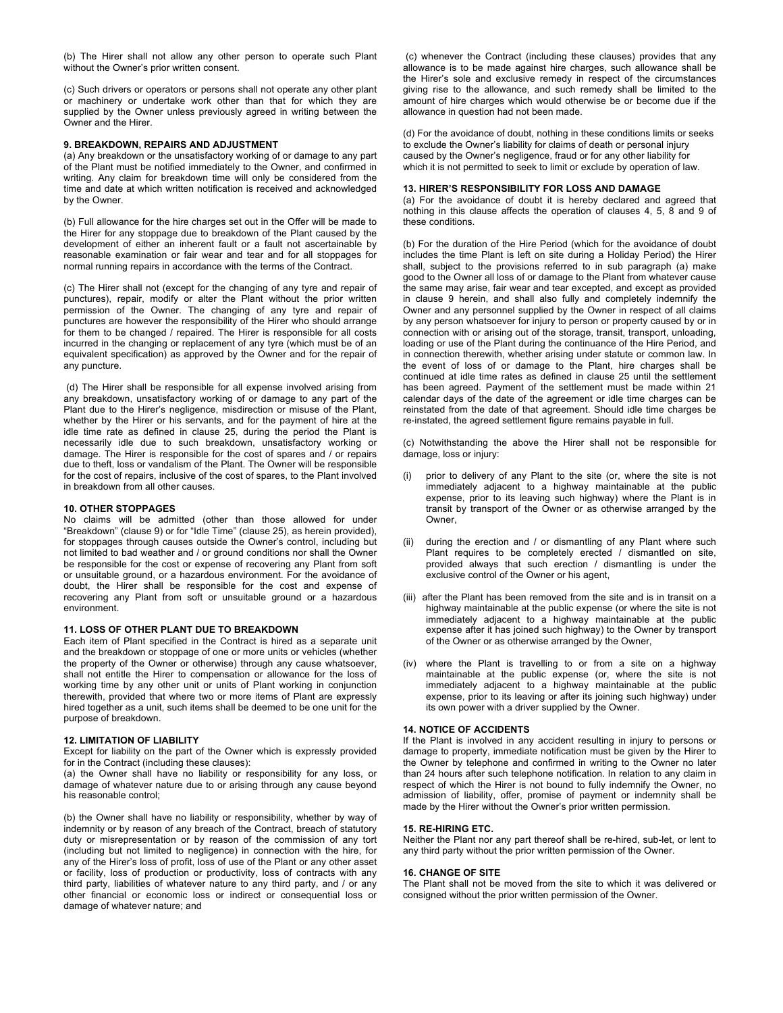(b) The Hirer shall not allow any other person to operate such Plant without the Owner's prior written consent.

(c) Such drivers or operators or persons shall not operate any other plant or machinery or undertake work other than that for which they are supplied by the Owner unless previously agreed in writing between the Owner and the Hirer.

# **9. BREAKDOWN, REPAIRS AND ADJUSTMENT**

(a) Any breakdown or the unsatisfactory working of or damage to any part of the Plant must be notified immediately to the Owner, and confirmed in writing. Any claim for breakdown time will only be considered from the time and date at which written notification is received and acknowledged by the Owner.

(b) Full allowance for the hire charges set out in the Offer will be made to the Hirer for any stoppage due to breakdown of the Plant caused by the development of either an inherent fault or a fault not ascertainable by reasonable examination or fair wear and tear and for all stoppages for normal running repairs in accordance with the terms of the Contract.

(c) The Hirer shall not (except for the changing of any tyre and repair of punctures), repair, modify or alter the Plant without the prior written permission of the Owner. The changing of any tyre and repair of punctures are however the responsibility of the Hirer who should arrange for them to be changed / repaired. The Hirer is responsible for all costs incurred in the changing or replacement of any tyre (which must be of an equivalent specification) as approved by the Owner and for the repair of any puncture.

(d) The Hirer shall be responsible for all expense involved arising from any breakdown, unsatisfactory working of or damage to any part of the Plant due to the Hirer's negligence, misdirection or misuse of the Plant, whether by the Hirer or his servants, and for the payment of hire at the idle time rate as defined in clause 25, during the period the Plant is necessarily idle due to such breakdown, unsatisfactory working or damage. The Hirer is responsible for the cost of spares and / or repairs due to theft, loss or vandalism of the Plant. The Owner will be responsible for the cost of repairs, inclusive of the cost of spares, to the Plant involved in breakdown from all other causes.

# **10. OTHER STOPPAGES**

No claims will be admitted (other than those allowed for under "Breakdown" (clause 9) or for "Idle Time" (clause 25), as herein provided), for stoppages through causes outside the Owner's control, including but not limited to bad weather and / or ground conditions nor shall the Owner be responsible for the cost or expense of recovering any Plant from soft or unsuitable ground, or a hazardous environment. For the avoidance of doubt, the Hirer shall be responsible for the cost and expense of recovering any Plant from soft or unsuitable ground or a hazardous environment.

#### **11. LOSS OF OTHER PLANT DUE TO BREAKDOWN**

Each item of Plant specified in the Contract is hired as a separate unit and the breakdown or stoppage of one or more units or vehicles (whether the property of the Owner or otherwise) through any cause whatsoever, shall not entitle the Hirer to compensation or allowance for the loss of working time by any other unit or units of Plant working in conjunction therewith, provided that where two or more items of Plant are expressly hired together as a unit, such items shall be deemed to be one unit for the purpose of breakdown.

# **12. LIMITATION OF LIABILITY**

Except for liability on the part of the Owner which is expressly provided for in the Contract (including these clauses):

(a) the Owner shall have no liability or responsibility for any loss, or damage of whatever nature due to or arising through any cause beyond his reasonable control;

(b) the Owner shall have no liability or responsibility, whether by way of indemnity or by reason of any breach of the Contract, breach of statutory duty or misrepresentation or by reason of the commission of any tort (including but not limited to negligence) in connection with the hire, for any of the Hirer's loss of profit, loss of use of the Plant or any other asset or facility, loss of production or productivity, loss of contracts with any third party, liabilities of whatever nature to any third party, and / or any other financial or economic loss or indirect or consequential loss or damage of whatever nature; and

(c) whenever the Contract (including these clauses) provides that any allowance is to be made against hire charges, such allowance shall be the Hirer's sole and exclusive remedy in respect of the circumstances giving rise to the allowance, and such remedy shall be limited to the amount of hire charges which would otherwise be or become due if the allowance in question had not been made.

(d) For the avoidance of doubt, nothing in these conditions limits or seeks to exclude the Owner's liability for claims of death or personal injury caused by the Owner's negligence, fraud or for any other liability for which it is not permitted to seek to limit or exclude by operation of law.

## **13. HIRER'S RESPONSIBILITY FOR LOSS AND DAMAGE**

(a) For the avoidance of doubt it is hereby declared and agreed that nothing in this clause affects the operation of clauses 4, 5, 8 and 9 of these conditions.

(b) For the duration of the Hire Period (which for the avoidance of doubt includes the time Plant is left on site during a Holiday Period) the Hirer shall, subject to the provisions referred to in sub paragraph (a) make good to the Owner all loss of or damage to the Plant from whatever cause the same may arise, fair wear and tear excepted, and except as provided in clause 9 herein, and shall also fully and completely indemnify the Owner and any personnel supplied by the Owner in respect of all claims by any person whatsoever for injury to person or property caused by or in connection with or arising out of the storage, transit, transport, unloading, loading or use of the Plant during the continuance of the Hire Period, and in connection therewith, whether arising under statute or common law. In the event of loss of or damage to the Plant, hire charges shall be continued at idle time rates as defined in clause 25 until the settlement has been agreed. Payment of the settlement must be made within 21 calendar days of the date of the agreement or idle time charges can be reinstated from the date of that agreement. Should idle time charges be re-instated, the agreed settlement figure remains payable in full.

(c) Notwithstanding the above the Hirer shall not be responsible for damage, loss or injury:

- prior to delivery of any Plant to the site (or, where the site is not immediately adjacent to a highway maintainable at the public expense, prior to its leaving such highway) where the Plant is in transit by transport of the Owner or as otherwise arranged by the Owner,
- (ii) during the erection and / or dismantling of any Plant where such Plant requires to be completely erected / dismantled on site, provided always that such erection / dismantling is under the exclusive control of the Owner or his agent,
- (iii) after the Plant has been removed from the site and is in transit on a highway maintainable at the public expense (or where the site is not immediately adjacent to a highway maintainable at the public expense after it has joined such highway) to the Owner by transport of the Owner or as otherwise arranged by the Owner,
- (iv) where the Plant is travelling to or from a site on a highway maintainable at the public expense (or, where the site is not immediately adjacent to a highway maintainable at the public expense, prior to its leaving or after its joining such highway) under its own power with a driver supplied by the Owner.

#### **14. NOTICE OF ACCIDENTS**

If the Plant is involved in any accident resulting in injury to persons or damage to property, immediate notification must be given by the Hirer to the Owner by telephone and confirmed in writing to the Owner no later than 24 hours after such telephone notification. In relation to any claim in respect of which the Hirer is not bound to fully indemnify the Owner, no admission of liability, offer, promise of payment or indemnity shall be made by the Hirer without the Owner's prior written permission.

# **15. RE-HIRING ETC.**

Neither the Plant nor any part thereof shall be re-hired, sub-let, or lent to any third party without the prior written permission of the Owner.

## **16. CHANGE OF SITE**

The Plant shall not be moved from the site to which it was delivered or consigned without the prior written permission of the Owner.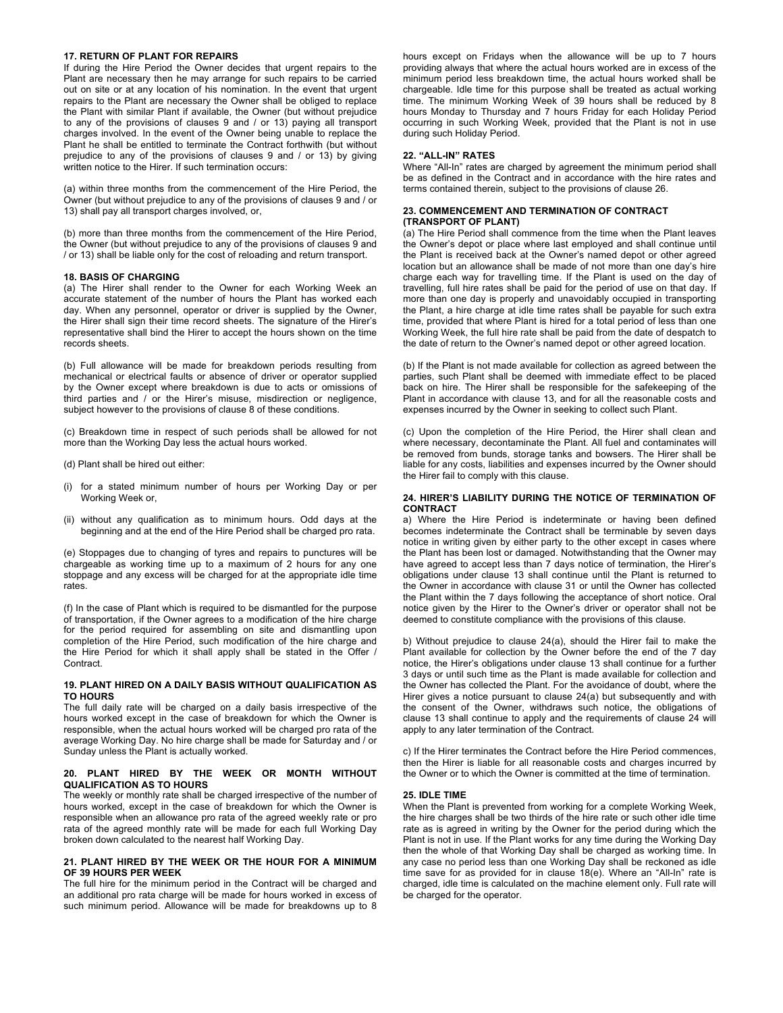# **17. RETURN OF PLANT FOR REPAIRS**

If during the Hire Period the Owner decides that urgent repairs to the Plant are necessary then he may arrange for such repairs to be carried out on site or at any location of his nomination. In the event that urgent repairs to the Plant are necessary the Owner shall be obliged to replace the Plant with similar Plant if available, the Owner (but without prejudice to any of the provisions of clauses 9 and / or 13) paying all transport charges involved. In the event of the Owner being unable to replace the Plant he shall be entitled to terminate the Contract forthwith (but without prejudice to any of the provisions of clauses 9 and / or 13) by giving written notice to the Hirer. If such termination occurs:

(a) within three months from the commencement of the Hire Period, the Owner (but without prejudice to any of the provisions of clauses 9 and / or 13) shall pay all transport charges involved, or,

(b) more than three months from the commencement of the Hire Period, the Owner (but without prejudice to any of the provisions of clauses 9 and / or 13) shall be liable only for the cost of reloading and return transport.

#### **18. BASIS OF CHARGING**

(a) The Hirer shall render to the Owner for each Working Week an accurate statement of the number of hours the Plant has worked each day. When any personnel, operator or driver is supplied by the Owner, the Hirer shall sign their time record sheets. The signature of the Hirer's representative shall bind the Hirer to accept the hours shown on the time records sheets.

(b) Full allowance will be made for breakdown periods resulting from mechanical or electrical faults or absence of driver or operator supplied by the Owner except where breakdown is due to acts or omissions of third parties and / or the Hirer's misuse, misdirection or negligence, subject however to the provisions of clause 8 of these conditions.

(c) Breakdown time in respect of such periods shall be allowed for not more than the Working Day less the actual hours worked.

(d) Plant shall be hired out either:

- (i) for a stated minimum number of hours per Working Day or per Working Week or,
- (ii) without any qualification as to minimum hours. Odd days at the beginning and at the end of the Hire Period shall be charged pro rata.

(e) Stoppages due to changing of tyres and repairs to punctures will be chargeable as working time up to a maximum of 2 hours for any one stoppage and any excess will be charged for at the appropriate idle time rates.

(f) In the case of Plant which is required to be dismantled for the purpose of transportation, if the Owner agrees to a modification of the hire charge for the period required for assembling on site and dismantling upon completion of the Hire Period, such modification of the hire charge and the Hire Period for which it shall apply shall be stated in the Offer / Contract.

#### **19. PLANT HIRED ON A DAILY BASIS WITHOUT QUALIFICATION AS TO HOURS**

The full daily rate will be charged on a daily basis irrespective of the hours worked except in the case of breakdown for which the Owner is responsible, when the actual hours worked will be charged pro rata of the average Working Day. No hire charge shall be made for Saturday and / or Sunday unless the Plant is actually worked.

## **20. PLANT HIRED BY THE WEEK OR MONTH WITHOUT QUALIFICATION AS TO HOURS**

The weekly or monthly rate shall be charged irrespective of the number of hours worked, except in the case of breakdown for which the Owner is responsible when an allowance pro rata of the agreed weekly rate or pro rata of the agreed monthly rate will be made for each full Working Day broken down calculated to the nearest half Working Day.

## **21. PLANT HIRED BY THE WEEK OR THE HOUR FOR A MINIMUM OF 39 HOURS PER WEEK**

The full hire for the minimum period in the Contract will be charged and an additional pro rata charge will be made for hours worked in excess of such minimum period. Allowance will be made for breakdowns up to 8 hours except on Fridays when the allowance will be up to 7 hours providing always that where the actual hours worked are in excess of the minimum period less breakdown time, the actual hours worked shall be chargeable. Idle time for this purpose shall be treated as actual working time. The minimum Working Week of 39 hours shall be reduced by 8 hours Monday to Thursday and 7 hours Friday for each Holiday Period occurring in such Working Week, provided that the Plant is not in use during such Holiday Period.

### **22. "ALL-IN" RATES**

Where "All-In" rates are charged by agreement the minimum period shall be as defined in the Contract and in accordance with the hire rates and terms contained therein, subject to the provisions of clause 26.

# **23. COMMENCEMENT AND TERMINATION OF CONTRACT (TRANSPORT OF PLANT)**

(a) The Hire Period shall commence from the time when the Plant leaves the Owner's depot or place where last employed and shall continue until the Plant is received back at the Owner's named depot or other agreed location but an allowance shall be made of not more than one day's hire charge each way for travelling time. If the Plant is used on the day of travelling, full hire rates shall be paid for the period of use on that day. If more than one day is properly and unavoidably occupied in transporting the Plant, a hire charge at idle time rates shall be payable for such extra time, provided that where Plant is hired for a total period of less than one Working Week, the full hire rate shall be paid from the date of despatch to the date of return to the Owner's named depot or other agreed location.

(b) If the Plant is not made available for collection as agreed between the parties, such Plant shall be deemed with immediate effect to be placed back on hire. The Hirer shall be responsible for the safekeeping of the Plant in accordance with clause 13, and for all the reasonable costs and expenses incurred by the Owner in seeking to collect such Plant.

(c) Upon the completion of the Hire Period, the Hirer shall clean and where necessary, decontaminate the Plant. All fuel and contaminates will be removed from bunds, storage tanks and bowsers. The Hirer shall be liable for any costs, liabilities and expenses incurred by the Owner should the Hirer fail to comply with this clause.

# **24. HIRER'S LIABILITY DURING THE NOTICE OF TERMINATION OF CONTRACT**

a) Where the Hire Period is indeterminate or having been defined becomes indeterminate the Contract shall be terminable by seven days notice in writing given by either party to the other except in cases where the Plant has been lost or damaged. Notwithstanding that the Owner may have agreed to accept less than 7 days notice of termination, the Hirer's obligations under clause 13 shall continue until the Plant is returned to the Owner in accordance with clause 31 or until the Owner has collected the Plant within the 7 days following the acceptance of short notice. Oral notice given by the Hirer to the Owner's driver or operator shall not be deemed to constitute compliance with the provisions of this clause.

b) Without prejudice to clause 24(a), should the Hirer fail to make the Plant available for collection by the Owner before the end of the 7 day notice, the Hirer's obligations under clause 13 shall continue for a further 3 days or until such time as the Plant is made available for collection and the Owner has collected the Plant. For the avoidance of doubt, where the Hirer gives a notice pursuant to clause 24(a) but subsequently and with the consent of the Owner, withdraws such notice, the obligations of clause 13 shall continue to apply and the requirements of clause 24 will apply to any later termination of the Contract.

c) If the Hirer terminates the Contract before the Hire Period commences, then the Hirer is liable for all reasonable costs and charges incurred by the Owner or to which the Owner is committed at the time of termination.

#### **25. IDLE TIME**

When the Plant is prevented from working for a complete Working Week, the hire charges shall be two thirds of the hire rate or such other idle time rate as is agreed in writing by the Owner for the period during which the Plant is not in use. If the Plant works for any time during the Working Day then the whole of that Working Day shall be charged as working time. In any case no period less than one Working Day shall be reckoned as idle time save for as provided for in clause 18(e). Where an "All-In" rate is charged, idle time is calculated on the machine element only. Full rate will be charged for the operator.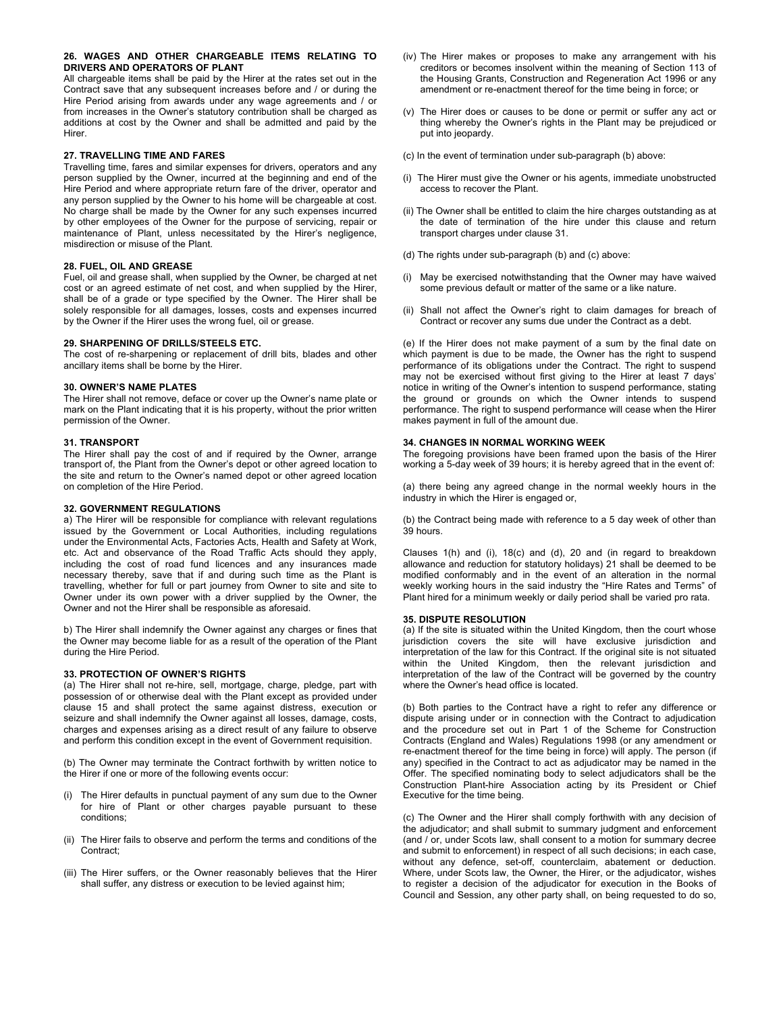# **26. WAGES AND OTHER CHARGEABLE ITEMS RELATING TO DRIVERS AND OPERATORS OF PLANT**

All chargeable items shall be paid by the Hirer at the rates set out in the Contract save that any subsequent increases before and / or during the Hire Period arising from awards under any wage agreements and / or from increases in the Owner's statutory contribution shall be charged as additions at cost by the Owner and shall be admitted and paid by the Hirer.

# **27. TRAVELLING TIME AND FARES**

Travelling time, fares and similar expenses for drivers, operators and any person supplied by the Owner, incurred at the beginning and end of the Hire Period and where appropriate return fare of the driver, operator and any person supplied by the Owner to his home will be chargeable at cost. No charge shall be made by the Owner for any such expenses incurred by other employees of the Owner for the purpose of servicing, repair or maintenance of Plant, unless necessitated by the Hirer's negligence, misdirection or misuse of the Plant.

### **28. FUEL, OIL AND GREASE**

Fuel, oil and grease shall, when supplied by the Owner, be charged at net cost or an agreed estimate of net cost, and when supplied by the Hirer, shall be of a grade or type specified by the Owner. The Hirer shall be solely responsible for all damages, losses, costs and expenses incurred by the Owner if the Hirer uses the wrong fuel, oil or grease.

# **29. SHARPENING OF DRILLS/STEELS ETC.**

The cost of re-sharpening or replacement of drill bits, blades and other ancillary items shall be borne by the Hirer.

#### **30. OWNER'S NAME PLATES**

The Hirer shall not remove, deface or cover up the Owner's name plate or mark on the Plant indicating that it is his property, without the prior written permission of the Owner.

# **31. TRANSPORT**

The Hirer shall pay the cost of and if required by the Owner, arrange transport of, the Plant from the Owner's depot or other agreed location to the site and return to the Owner's named depot or other agreed location on completion of the Hire Period.

#### **32. GOVERNMENT REGULATIONS**

a) The Hirer will be responsible for compliance with relevant regulations issued by the Government or Local Authorities, including regulations under the Environmental Acts, Factories Acts, Health and Safety at Work, etc. Act and observance of the Road Traffic Acts should they apply, including the cost of road fund licences and any insurances made necessary thereby, save that if and during such time as the Plant is travelling, whether for full or part journey from Owner to site and site to Owner under its own power with a driver supplied by the Owner, the Owner and not the Hirer shall be responsible as aforesaid.

b) The Hirer shall indemnify the Owner against any charges or fines that the Owner may become liable for as a result of the operation of the Plant during the Hire Period.

# **33. PROTECTION OF OWNER'S RIGHTS**

(a) The Hirer shall not re-hire, sell, mortgage, charge, pledge, part with possession of or otherwise deal with the Plant except as provided under clause 15 and shall protect the same against distress, execution or seizure and shall indemnify the Owner against all losses, damage, costs, charges and expenses arising as a direct result of any failure to observe and perform this condition except in the event of Government requisition.

(b) The Owner may terminate the Contract forthwith by written notice to the Hirer if one or more of the following events occur:

- The Hirer defaults in punctual payment of any sum due to the Owner for hire of Plant or other charges payable pursuant to these conditions;
- (ii) The Hirer fails to observe and perform the terms and conditions of the Contract;
- (iii) The Hirer suffers, or the Owner reasonably believes that the Hirer shall suffer, any distress or execution to be levied against him;
- (iv) The Hirer makes or proposes to make any arrangement with his creditors or becomes insolvent within the meaning of Section 113 of the Housing Grants, Construction and Regeneration Act 1996 or any amendment or re-enactment thereof for the time being in force; or
- (v) The Hirer does or causes to be done or permit or suffer any act or thing whereby the Owner's rights in the Plant may be prejudiced or put into jeopardy.
- (c) In the event of termination under sub-paragraph (b) above:
- (i) The Hirer must give the Owner or his agents, immediate unobstructed access to recover the Plant.
- (ii) The Owner shall be entitled to claim the hire charges outstanding as at the date of termination of the hire under this clause and return transport charges under clause 31.
- (d) The rights under sub-paragraph (b) and (c) above:
- (i) May be exercised notwithstanding that the Owner may have waived some previous default or matter of the same or a like nature.
- (ii) Shall not affect the Owner's right to claim damages for breach of Contract or recover any sums due under the Contract as a debt.

(e) If the Hirer does not make payment of a sum by the final date on which payment is due to be made, the Owner has the right to suspend performance of its obligations under the Contract. The right to suspend may not be exercised without first giving to the Hirer at least 7 days' notice in writing of the Owner's intention to suspend performance, stating the ground or grounds on which the Owner intends to suspend performance. The right to suspend performance will cease when the Hirer makes payment in full of the amount due.

# **34. CHANGES IN NORMAL WORKING WEEK**

The foregoing provisions have been framed upon the basis of the Hirer working a 5-day week of 39 hours; it is hereby agreed that in the event of:

(a) there being any agreed change in the normal weekly hours in the industry in which the Hirer is engaged or,

(b) the Contract being made with reference to a 5 day week of other than 39 hours.

Clauses 1(h) and (i), 18(c) and (d), 20 and (in regard to breakdown allowance and reduction for statutory holidays) 21 shall be deemed to be modified conformably and in the event of an alteration in the normal weekly working hours in the said industry the "Hire Rates and Terms" of Plant hired for a minimum weekly or daily period shall be varied pro rata.

## **35. DISPUTE RESOLUTION**

(a) If the site is situated within the United Kingdom, then the court whose jurisdiction covers the site will have exclusive jurisdiction and interpretation of the law for this Contract. If the original site is not situated within the United Kingdom, then the relevant jurisdiction and interpretation of the law of the Contract will be governed by the country where the Owner's head office is located.

(b) Both parties to the Contract have a right to refer any difference or dispute arising under or in connection with the Contract to adjudication and the procedure set out in Part 1 of the Scheme for Construction Contracts (England and Wales) Regulations 1998 (or any amendment or re-enactment thereof for the time being in force) will apply. The person (if any) specified in the Contract to act as adjudicator may be named in the Offer. The specified nominating body to select adjudicators shall be the Construction Plant-hire Association acting by its President or Chief Executive for the time being.

(c) The Owner and the Hirer shall comply forthwith with any decision of the adjudicator; and shall submit to summary judgment and enforcement (and / or, under Scots law, shall consent to a motion for summary decree and submit to enforcement) in respect of all such decisions; in each case, without any defence, set-off, counterclaim, abatement or deduction. Where, under Scots law, the Owner, the Hirer, or the adjudicator, wishes to register a decision of the adjudicator for execution in the Books of Council and Session, any other party shall, on being requested to do so,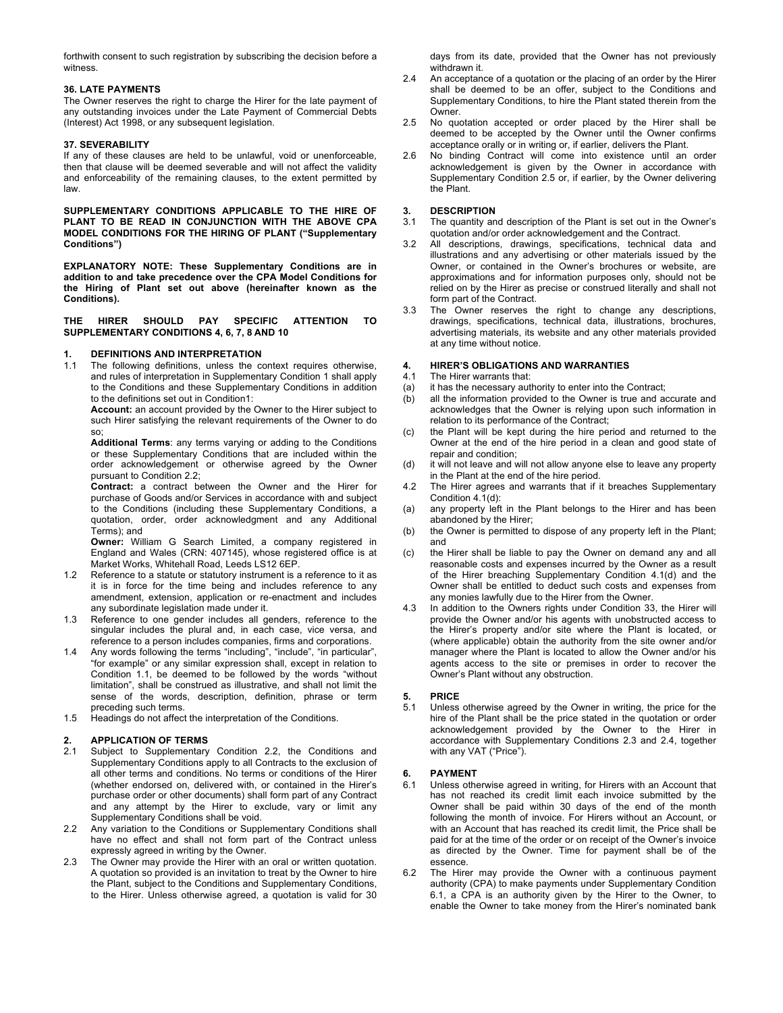forthwith consent to such registration by subscribing the decision before a witness.

# **36. LATE PAYMENTS**

The Owner reserves the right to charge the Hirer for the late payment of any outstanding invoices under the Late Payment of Commercial Debts (Interest) Act 1998, or any subsequent legislation.

# **37. SEVERABILITY**

If any of these clauses are held to be unlawful, void or unenforceable, then that clause will be deemed severable and will not affect the validity and enforceability of the remaining clauses, to the extent permitted by law.

**SUPPLEMENTARY CONDITIONS APPLICABLE TO THE HIRE OF PLANT TO BE READ IN CONJUNCTION WITH THE ABOVE CPA MODEL CONDITIONS FOR THE HIRING OF PLANT ("Supplementary Conditions")**

**EXPLANATORY NOTE: These Supplementary Conditions are in addition to and take precedence over the CPA Model Conditions for the Hiring of Plant set out above (hereinafter known as the Conditions).**

**THE HIRER SHOULD PAY SPECIFIC ATTENTION TO SUPPLEMENTARY CONDITIONS 4, 6, 7, 8 AND 10**

# **1. DEFINITIONS AND INTERPRETATION**

The following definitions, unless the context requires otherwise, and rules of interpretation in Supplementary Condition 1 shall apply to the Conditions and these Supplementary Conditions in addition to the definitions set out in Condition1:

**Account:** an account provided by the Owner to the Hirer subject to such Hirer satisfying the relevant requirements of the Owner to do so;

**Additional Terms**: any terms varying or adding to the Conditions or these Supplementary Conditions that are included within the order acknowledgement or otherwise agreed by the Owner pursuant to Condition 2.2;

**Contract:** a contract between the Owner and the Hirer for purchase of Goods and/or Services in accordance with and subject to the Conditions (including these Supplementary Conditions, a quotation, order, order acknowledgment and any Additional Terms); and

**Owner:** William G Search Limited, a company registered in England and Wales (CRN: 407145), whose registered office is at Market Works, Whitehall Road, Leeds LS12 6EP.

- 1.2 Reference to a statute or statutory instrument is a reference to it as it is in force for the time being and includes reference to any amendment, extension, application or re-enactment and includes any subordinate legislation made under it.
- 1.3 Reference to one gender includes all genders, reference to the singular includes the plural and, in each case, vice versa, and reference to a person includes companies, firms and corporations.
- 1.4 Any words following the terms "including", "include", "in particular", "for example" or any similar expression shall, except in relation to Condition 1.1, be deemed to be followed by the words "without limitation", shall be construed as illustrative, and shall not limit the sense of the words, description, definition, phrase or term preceding such terms.
- 1.5 Headings do not affect the interpretation of the Conditions.

# **2. APPLICATION OF TERMS**

- 2.1 Subject to Supplementary Condition 2.2, the Conditions and Supplementary Conditions apply to all Contracts to the exclusion of all other terms and conditions. No terms or conditions of the Hirer (whether endorsed on, delivered with, or contained in the Hirer's purchase order or other documents) shall form part of any Contract and any attempt by the Hirer to exclude, vary or limit any Supplementary Conditions shall be void.
- 2.2 Any variation to the Conditions or Supplementary Conditions shall have no effect and shall not form part of the Contract unless expressly agreed in writing by the Owner.
- 2.3 The Owner may provide the Hirer with an oral or written quotation. A quotation so provided is an invitation to treat by the Owner to hire the Plant, subject to the Conditions and Supplementary Conditions, to the Hirer. Unless otherwise agreed, a quotation is valid for 30

days from its date, provided that the Owner has not previously withdrawn it

- 2.4 An acceptance of a quotation or the placing of an order by the Hirer shall be deemed to be an offer, subject to the Conditions and Supplementary Conditions, to hire the Plant stated therein from the Owner.
- 2.5 No quotation accepted or order placed by the Hirer shall be deemed to be accepted by the Owner until the Owner confirms acceptance orally or in writing or, if earlier, delivers the Plant.
- 2.6 No binding Contract will come into existence until an order acknowledgement is given by the Owner in accordance with Supplementary Condition 2.5 or, if earlier, by the Owner delivering the Plant.

# **3. DESCRIPTION**

3.1 The quantity and description of the Plant is set out in the Owner's quotation and/or order acknowledgement and the Contract.

- 3.2 All descriptions, drawings, specifications, technical data and illustrations and any advertising or other materials issued by the Owner, or contained in the Owner's brochures or website, are approximations and for information purposes only, should not be relied on by the Hirer as precise or construed literally and shall not form part of the Contract.
- 3.3 The Owner reserves the right to change any descriptions, drawings, specifications, technical data, illustrations, brochures, advertising materials, its website and any other materials provided at any time without notice.

# **4. HIRER'S OBLIGATIONS AND WARRANTIES**

- 4.1 The Hirer warrants that:
- (a) it has the necessary authority to enter into the Contract;<br>(b) all the information provided to the Owner is true and a
- all the information provided to the Owner is true and accurate and acknowledges that the Owner is relying upon such information in relation to its performance of the Contract;
- (c) the Plant will be kept during the hire period and returned to the Owner at the end of the hire period in a clean and good state of repair and condition;
- (d) it will not leave and will not allow anyone else to leave any property in the Plant at the end of the hire period.
- 4.2 The Hirer agrees and warrants that if it breaches Supplementary Condition 4.1(d):
- (a) any property left in the Plant belongs to the Hirer and has been abandoned by the Hirer;
- (b) the Owner is permitted to dispose of any property left in the Plant; and
- (c) the Hirer shall be liable to pay the Owner on demand any and all reasonable costs and expenses incurred by the Owner as a result of the Hirer breaching Supplementary Condition 4.1(d) and the Owner shall be entitled to deduct such costs and expenses from any monies lawfully due to the Hirer from the Owner.
- 4.3 In addition to the Owners rights under Condition 33, the Hirer will provide the Owner and/or his agents with unobstructed access to the Hirer's property and/or site where the Plant is located, or (where applicable) obtain the authority from the site owner and/or manager where the Plant is located to allow the Owner and/or his agents access to the site or premises in order to recover the Owner's Plant without any obstruction.

# **5. PRICE**

5.1 Unless otherwise agreed by the Owner in writing, the price for the hire of the Plant shall be the price stated in the quotation or order acknowledgement provided by the Owner to the Hirer in accordance with Supplementary Conditions 2.3 and 2.4, together with any VAT ("Price").

# **6. PAYMENT**

- 6.1 Unless otherwise agreed in writing, for Hirers with an Account that has not reached its credit limit each invoice submitted by the Owner shall be paid within 30 days of the end of the month following the month of invoice. For Hirers without an Account, or with an Account that has reached its credit limit, the Price shall be paid for at the time of the order or on receipt of the Owner's invoice as directed by the Owner. Time for payment shall be of the essence.
- 6.2 The Hirer may provide the Owner with a continuous payment authority (CPA) to make payments under Supplementary Condition 6.1, a CPA is an authority given by the Hirer to the Owner, to enable the Owner to take money from the Hirer's nominated bank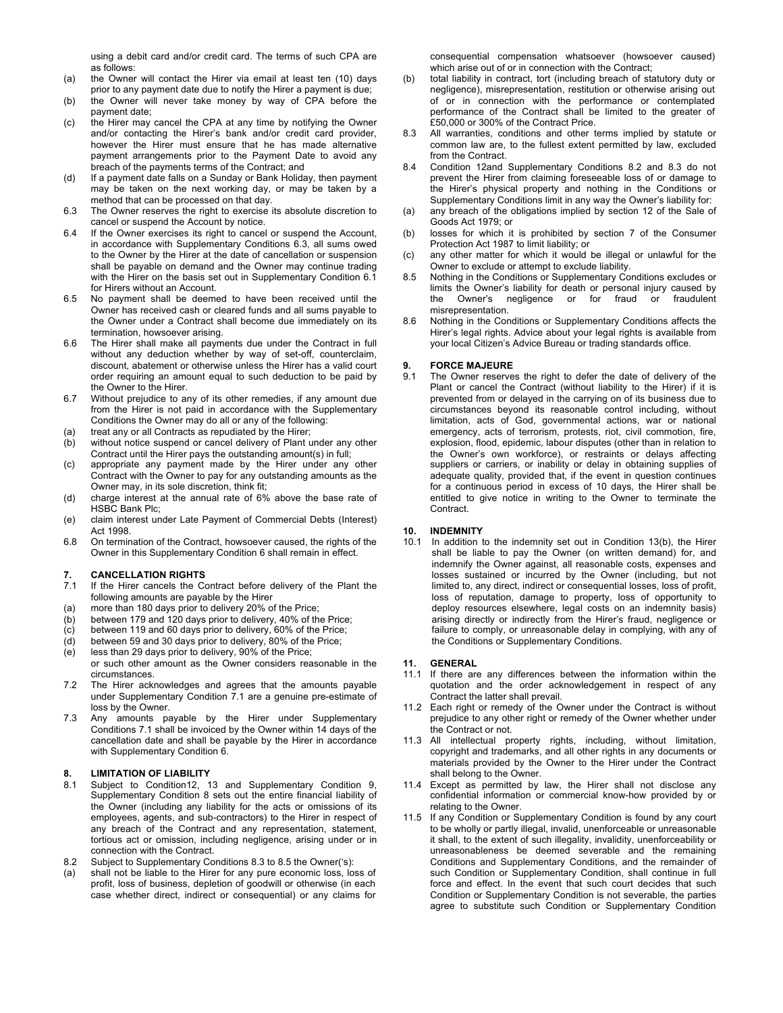using a debit card and/or credit card. The terms of such CPA are as follows:

- (a) the Owner will contact the Hirer via email at least ten (10) days prior to any payment date due to notify the Hirer a payment is due;
- (b) the Owner will never take money by way of CPA before the payment date;
- (c) the Hirer may cancel the CPA at any time by notifying the Owner and/or contacting the Hirer's bank and/or credit card provider, however the Hirer must ensure that he has made alternative payment arrangements prior to the Payment Date to avoid any breach of the payments terms of the Contract; and
- (d) If a payment date falls on a Sunday or Bank Holiday, then payment may be taken on the next working day, or may be taken by a method that can be processed on that day.
- 6.3 The Owner reserves the right to exercise its absolute discretion to cancel or suspend the Account by notice.
- 6.4 If the Owner exercises its right to cancel or suspend the Account, in accordance with Supplementary Conditions 6.3, all sums owed to the Owner by the Hirer at the date of cancellation or suspension shall be payable on demand and the Owner may continue trading with the Hirer on the basis set out in Supplementary Condition 6.1 for Hirers without an Account.
- 6.5 No payment shall be deemed to have been received until the Owner has received cash or cleared funds and all sums payable to the Owner under a Contract shall become due immediately on its termination, howsoever arising.
- 6.6 The Hirer shall make all payments due under the Contract in full without any deduction whether by way of set-off, counterclaim, discount, abatement or otherwise unless the Hirer has a valid court order requiring an amount equal to such deduction to be paid by the Owner to the Hirer.
- 6.7 Without prejudice to any of its other remedies, if any amount due from the Hirer is not paid in accordance with the Supplementary Conditions the Owner may do all or any of the following:
- (a) treat any or all Contracts as repudiated by the Hirer;
- (b) without notice suspend or cancel delivery of Plant under any other Contract until the Hirer pays the outstanding amount(s) in full;
- (c) appropriate any payment made by the Hirer under any other Contract with the Owner to pay for any outstanding amounts as the Owner may, in its sole discretion, think fit;
- (d) charge interest at the annual rate of 6% above the base rate of HSBC Bank Plc;
- (e) claim interest under Late Payment of Commercial Debts (Interest) Act 1998.
- 6.8 On termination of the Contract, howsoever caused, the rights of the Owner in this Supplementary Condition 6 shall remain in effect.

## **7. CANCELLATION RIGHTS**

- 7.1 If the Hirer cancels the Contract before delivery of the Plant the following amounts are payable by the Hirer
- (a) more than 180 days prior to delivery 20% of the Price;
- (b) between 179 and 120 days prior to delivery, 40% of the Price;
- (c) between 119 and 60 days prior to delivery, 60% of the Price;
- (d) between 59 and 30 days prior to delivery, 80% of the Price; (e) less than 29 days prior to delivery, 90% of the Price;
- or such other amount as the Owner considers reasonable in the circumstances.
- 7.2 The Hirer acknowledges and agrees that the amounts payable under Supplementary Condition 7.1 are a genuine pre-estimate of loss by the Owner.
- 7.3 Any amounts payable by the Hirer under Supplementary Conditions 7.1 shall be invoiced by the Owner within 14 days of the cancellation date and shall be payable by the Hirer in accordance with Supplementary Condition 6.

# **8. LIMITATION OF LIABILITY**

- 8.1 Subject to Condition12, 13 and Supplementary Condition 9, Supplementary Condition 8 sets out the entire financial liability of the Owner (including any liability for the acts or omissions of its employees, agents, and sub-contractors) to the Hirer in respect of any breach of the Contract and any representation, statement, tortious act or omission, including negligence, arising under or in connection with the Contract.
- 8.2 Subject to Supplementary Conditions 8.3 to 8.5 the Owner('s):
- (a) shall not be liable to the Hirer for any pure economic loss, loss of profit, loss of business, depletion of goodwill or otherwise (in each case whether direct, indirect or consequential) or any claims for

consequential compensation whatsoever (howsoever caused) which arise out of or in connection with the Contract;

- (b) total liability in contract, tort (including breach of statutory duty or negligence), misrepresentation, restitution or otherwise arising out of or in connection with the performance or contemplated performance of the Contract shall be limited to the greater of £50,000 or 300% of the Contract Price.
- 8.3 All warranties, conditions and other terms implied by statute or common law are, to the fullest extent permitted by law, excluded from the Contract.
- 8.4 Condition 12and Supplementary Conditions 8.2 and 8.3 do not prevent the Hirer from claiming foreseeable loss of or damage to the Hirer's physical property and nothing in the Conditions or Supplementary Conditions limit in any way the Owner's liability for:
- (a) any breach of the obligations implied by section 12 of the Sale of Goods Act 1979; or
- (b) losses for which it is prohibited by section 7 of the Consumer Protection Act 1987 to limit liability; or
- (c) any other matter for which it would be illegal or unlawful for the Owner to exclude or attempt to exclude liability.
- 8.5 Nothing in the Conditions or Supplementary Conditions excludes or limits the Owner's liability for death or personal injury caused by the Owner's negligence or for fraud or fraudulent misrepresentation.
- 8.6 Nothing in the Conditions or Supplementary Conditions affects the Hirer's legal rights. Advice about your legal rights is available from your local Citizen's Advice Bureau or trading standards office.

# **9. FORCE MAJEURE**

9.1 The Owner reserves the right to defer the date of delivery of the Plant or cancel the Contract (without liability to the Hirer) if it is prevented from or delayed in the carrying on of its business due to circumstances beyond its reasonable control including, without limitation, acts of God, governmental actions, war or national emergency, acts of terrorism, protests, riot, civil commotion, fire, explosion, flood, epidemic, labour disputes (other than in relation to the Owner's own workforce), or restraints or delays affecting suppliers or carriers, or inability or delay in obtaining supplies of adequate quality, provided that, if the event in question continues for a continuous period in excess of 10 days, the Hirer shall be entitled to give notice in writing to the Owner to terminate the Contract.

# **10. INDEMNITY**

10.1 In addition to the indemnity set out in Condition 13(b), the Hirer shall be liable to pay the Owner (on written demand) for, and indemnify the Owner against, all reasonable costs, expenses and losses sustained or incurred by the Owner (including, but not limited to, any direct, indirect or consequential losses, loss of profit, loss of reputation, damage to property, loss of opportunity to deploy resources elsewhere, legal costs on an indemnity basis) arising directly or indirectly from the Hirer's fraud, negligence or failure to comply, or unreasonable delay in complying, with any of the Conditions or Supplementary Conditions.

#### **11. GENERAL**

- 11.1 If there are any differences between the information within the quotation and the order acknowledgement in respect of any Contract the latter shall prevail.
- 11.2 Each right or remedy of the Owner under the Contract is without prejudice to any other right or remedy of the Owner whether under the Contract or not.
- 11.3 All intellectual property rights, including, without limitation, copyright and trademarks, and all other rights in any documents or materials provided by the Owner to the Hirer under the Contract shall belong to the Owner.
- 11.4 Except as permitted by law, the Hirer shall not disclose any confidential information or commercial know-how provided by or relating to the Owner.
- 11.5 If any Condition or Supplementary Condition is found by any court to be wholly or partly illegal, invalid, unenforceable or unreasonable it shall, to the extent of such illegality, invalidity, unenforceability or unreasonableness be deemed severable and the remaining Conditions and Supplementary Conditions, and the remainder of such Condition or Supplementary Condition, shall continue in full force and effect. In the event that such court decides that such Condition or Supplementary Condition is not severable, the parties agree to substitute such Condition or Supplementary Condition